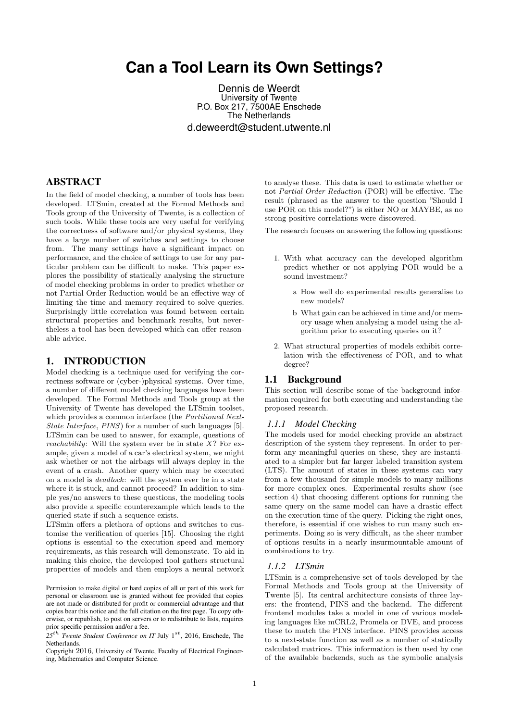# **Can a Tool Learn its Own Settings?**

Dennis de Weerdt University of Twente P.O. Box 217, 7500AE Enschede The Netherlands d.deweerdt@student.utwente.nl

# ABSTRACT

In the field of model checking, a number of tools has been developed. LTSmin, created at the Formal Methods and Tools group of the University of Twente, is a collection of such tools. While these tools are very useful for verifying the correctness of software and/or physical systems, they have a large number of switches and settings to choose from. The many settings have a significant impact on performance, and the choice of settings to use for any particular problem can be difficult to make. This paper explores the possibility of statically analysing the structure of model checking problems in order to predict whether or not Partial Order Reduction would be an effective way of limiting the time and memory required to solve queries. Surprisingly little correlation was found between certain structural properties and benchmark results, but nevertheless a tool has been developed which can offer reasonable advice.

### 1. INTRODUCTION

Model checking is a technique used for verifying the correctness software or (cyber-)physical systems. Over time, a number of different model checking languages have been developed. The Formal Methods and Tools group at the University of Twente has developed the LTSmin toolset, which provides a common interface (the Partitioned Next-State Interface, PINS) for a number of such languages [5]. LTSmin can be used to answer, for example, questions of *reachability*: Will the system ever be in state  $X$ ? For example, given a model of a car's electrical system, we might ask whether or not the airbags will always deploy in the event of a crash. Another query which may be executed on a model is deadlock: will the system ever be in a state where it is stuck, and cannot proceed? In addition to simple yes/no answers to these questions, the modeling tools also provide a specific counterexample which leads to the queried state if such a sequence exists.

LTSmin offers a plethora of options and switches to customise the verification of queries [15]. Choosing the right options is essential to the execution speed and memory requirements, as this research will demonstrate. To aid in making this choice, the developed tool gathers structural properties of models and then employs a neural network

Copyright 2016, University of Twente, Faculty of Electrical Engineering, Mathematics and Computer Science.

to analyse these. This data is used to estimate whether or not Partial Order Reduction (POR) will be effective. The result (phrased as the answer to the question "Should I use POR on this model?") is either NO or MAYBE, as no strong positive correlations were discovered.

The research focuses on answering the following questions:

- 1. With what accuracy can the developed algorithm predict whether or not applying POR would be a sound investment?
	- a How well do experimental results generalise to new models?
	- b What gain can be achieved in time and/or memory usage when analysing a model using the algorithm prior to executing queries on it?
- 2. What structural properties of models exhibit correlation with the effectiveness of POR, and to what degree?

#### 1.1 Background

This section will describe some of the background information required for both executing and understanding the proposed research.

#### *1.1.1 Model Checking*

The models used for model checking provide an abstract description of the system they represent. In order to perform any meaningful queries on these, they are instantiated to a simpler but far larger labeled transition system (LTS). The amount of states in these systems can vary from a few thousand for simple models to many millions for more complex ones. Experimental results show (see section 4) that choosing different options for running the same query on the same model can have a drastic effect on the execution time of the query. Picking the right ones, therefore, is essential if one wishes to run many such experiments. Doing so is very difficult, as the sheer number of options results in a nearly insurmountable amount of combinations to try.

#### *1.1.2 LTSmin*

LTSmin is a comprehensive set of tools developed by the Formal Methods and Tools group at the University of Twente [5]. Its central architecture consists of three layers: the frontend, PINS and the backend. The different frontend modules take a model in one of various modeling languages like mCRL2, Promela or DVE, and process these to match the PINS interface. PINS provides access to a next-state function as well as a number of statically calculated matrices. This information is then used by one of the available backends, such as the symbolic analysis

Permission to make digital or hard copies of all or part of this work for personal or classroom use is granted without fee provided that copies are not made or distributed for profit or commercial advantage and that copies bear this notice and the full citation on the first page. To copy otherwise, or republish, to post on servers or to redistribute to lists, requires prior specific permission and/or a fee.

<sup>25&</sup>lt;sup>th</sup> Twente Student Conference on IT July 1<sup>st</sup>, 2016, Enschede, The Netherlands.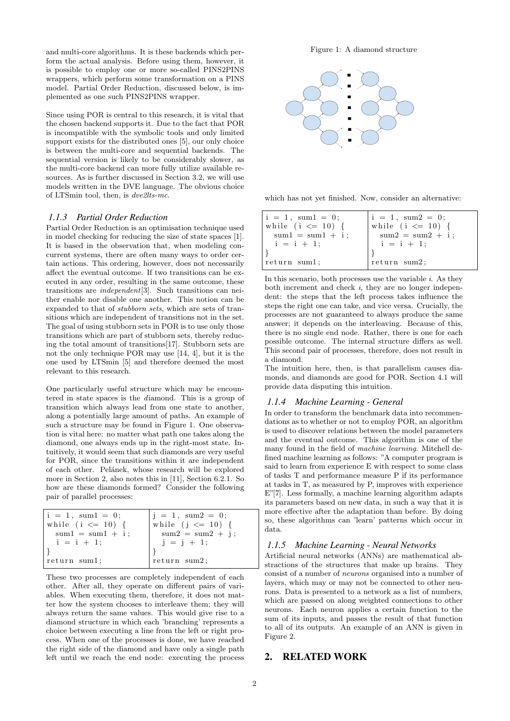and multi-core algorithms. It is these backends which perform the actual analysis. Before using them, however, it is possible to employ one or more so-called PINS2PINS wrappers, which perform some transformation on a PINS model. Partial Order Reduction, discussed below, is implemented as one such PINS2PINS wrapper.

Since using POR is central to this research, it is vital that the chosen backend supports it. Due to the fact that POR is incompatible with the symbolic tools and only limited support exists for the distributed ones [5], our only choice is between the multi-core and sequential backends. The sequential version is likely to be considerably slower, as the multi-core backend can more fully utilize available resources. As is further discussed in Section 3.2, we will use models written in the DVE language. The obvious choice of LTSmin tool, then, is dve2lts-mc.

#### *1.1.3 Partial Order Reduction*

Partial Order Reduction is an optimisation technique used in model checking for reducing the size of state spaces [1]. It is based in the observation that, when modeling concurrent systems, there are often many ways to order certain actions. This ordering, however, does not necessarily affect the eventual outcome. If two transitions can be executed in any order, resulting in the same outcome, these transitions are independent[3]. Such transitions can neither enable nor disable one another. This notion can be expanded to that of stubborn sets, which are sets of transitions which are independent of transitions not in the set. The goal of using stubborn sets in POR is to use only those transitions which are part of stubborn sets, thereby reducing the total amount of transitions[17]. Stubborn sets are not the only technique POR may use [14, 4], but it is the one used by LTSmin [5] and therefore deemed the most relevant to this research.

One particularly useful structure which may be encountered in state spaces is the diamond. This is a group of transition which always lead from one state to another, along a potentially large amount of paths. An example of such a structure may be found in Figure 1. One observation is vital here: no matter what path one takes along the diamond, one always ends up in the right-most state. Intuitively, it would seem that such diamonds are very useful for POR, since the transitions within it are independent of each other. Pelánek, whose research will be explored more in Section 2, also notes this in [11], Section 6.2.1. So how are these diamonds formed? Consider the following pair of parallel processes:

| $i = 1$ , sum $1 = 0$ ; | $ j = 1, \text{ sum2} = 0;$ |
|-------------------------|-----------------------------|
| while (i $\leq$ 10) {   | while $(j \le 10)$ {        |
| $sum1 = sum1 + i$ ;     | $sum2 = sum2 + j;$          |
| $i = i + 1;$            | $j = j + 1;$                |
|                         |                             |
| return sum1;            | return sum2;                |

These two processes are completely independent of each other. After all, they operate on different pairs of variables. When executing them, therefore, it does not matter how the system chooses to interleave them; they will always return the same values. This would give rise to a diamond structure in which each 'branching' represents a choice between executing a line from the left or right process. When one of the processes is done, we have reached the right side of the diamond and have only a single path left until we reach the end node: executing the process



which has not yet finished. Now, consider an alternative:

| $ i = 1, \text{ sum1} = 0;$ | $i = 1$ , sum $2 = 0$ ; |
|-----------------------------|-------------------------|
| while (i $\leq$ 10) {       | while (i $\leq$ 10) {   |
| $sum1 = sum1 + i$ ;         | $sum2 = sum2 + i;$      |
| $i = i + 1$ ;               | $i = i + 1$ ;           |
| return sum1;                | return sum2;            |

In this scenario, both processes use the variable  $i$ . As they both increment and check  $i$ , they are no longer independent: the steps that the left process takes influence the steps the right one can take, and vice versa. Crucially, the processes are not guaranteed to always produce the same answer; it depends on the interleaving. Because of this, there is no single end node. Rather, there is one for each possible outcome. The internal structure differs as well. This second pair of processes, therefore, does not result in a diamond.

The intuition here, then, is that parallelism causes diamonds, and diamonds are good for POR. Section 4.1 will provide data disputing this intuition.

#### *1.1.4 Machine Learning - General*

In order to transform the benchmark data into recommendations as to whether or not to employ POR, an algorithm is used to discover relations between the model parameters and the eventual outcome. This algorithm is one of the many found in the field of machine learning. Mitchell defined machine learning as follows: "A computer program is said to learn from experience E with respect to some class of tasks T and performance measure P if its performance at tasks in T, as measured by P, improves with experience E"[7]. Less formally, a machine learning algorithm adapts its parameters based on new data, in such a way that it is more effective after the adaptation than before. By doing so, these algorithms can 'learn' patterns which occur in data.

#### *1.1.5 Machine Learning - Neural Networks*

Artificial neural networks (ANNs) are mathematical abstractions of the structures that make up brains. They consist of a number of neurons organised into a number of layers, which may or may not be connected to other neurons. Data is presented to a network as a list of numbers, which are passed on along weighted connections to other neurons. Each neuron applies a certain function to the sum of its inputs, and passes the result of that function to all of its outputs. An example of an ANN is given in Figure 2.

### 2. RELATED WORK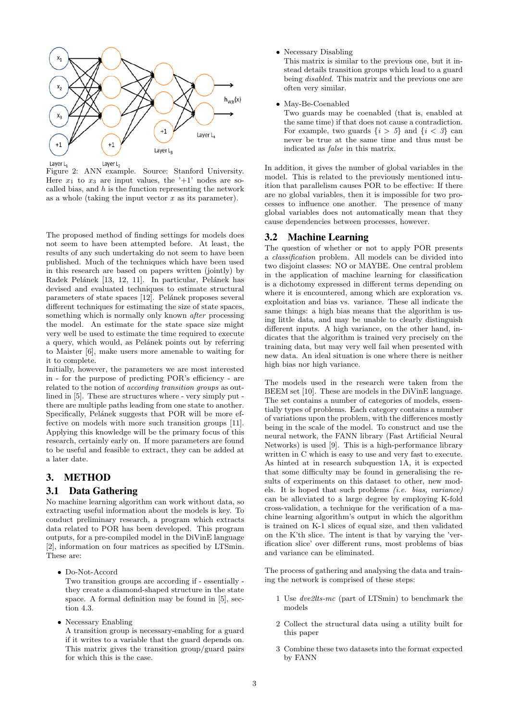

Figure 2: ANN example. Source: Stanford University. Here  $x_1$  to  $x_3$  are input values, the '+1' nodes are socalled bias, and  $h$  is the function representing the network as a whole (taking the input vector  $x$  as its parameter).

The proposed method of finding settings for models does not seem to have been attempted before. At least, the results of any such undertaking do not seem to have been published. Much of the techniques which have been used in this research are based on papers written (jointly) by Radek Pelánek [13, 12, 11]. In particular, Pelánek has devised and evaluated techniques to estimate structural parameters of state spaces [12]. Pelánek proposes several different techniques for estimating the size of state spaces, something which is normally only known *after* processing the model. An estimate for the state space size might very well be used to estimate the time required to execute a query, which would, as Pelánek points out by referring to Maister [6], make users more amenable to waiting for it to complete.

Initially, however, the parameters we are most interested in - for the purpose of predicting POR's efficiency - are related to the notion of according transition groups as outlined in [5]. These are structures where - very simply put there are multiple paths leading from one state to another. Specifically, Pelánek suggests that POR will be more effective on models with more such transition groups [11]. Applying this knowledge will be the primary focus of this research, certainly early on. If more parameters are found to be useful and feasible to extract, they can be added at a later date.

#### 3. METHOD

#### 3.1 Data Gathering

No machine learning algorithm can work without data, so extracting useful information about the models is key. To conduct preliminary research, a program which extracts data related to POR has been developed. This program outputs, for a pre-compiled model in the DiVinE language [2], information on four matrices as specified by LTSmin. These are:

• Do-Not-Accord

Two transition groups are according if - essentially they create a diamond-shaped structure in the state space. A formal definition may be found in [5], section 4.3.

• Necessary Enabling

A transition group is necessary-enabling for a guard if it writes to a variable that the guard depends on. This matrix gives the transition group/guard pairs for which this is the case.

• Necessary Disabling

This matrix is similar to the previous one, but it instead details transition groups which lead to a guard being disabled. This matrix and the previous one are often very similar.

• May-Be-Coenabled

Two guards may be coenabled (that is, enabled at the same time) if that does not cause a contradiction. For example, two guards  $\{i > 5\}$  and  $\{i < 3\}$  can never be true at the same time and thus must be indicated as false in this matrix.

In addition, it gives the number of global variables in the model. This is related to the previously mentioned intuition that parallelism causes POR to be effective: If there are no global variables, then it is impossible for two processes to influence one another. The presence of many global variables does not automatically mean that they cause dependencies between processes, however.

#### 3.2 Machine Learning

The question of whether or not to apply POR presents a classification problem. All models can be divided into two disjoint classes: NO or MAYBE. One central problem in the application of machine learning for classification is a dichotomy expressed in different terms depending on where it is encountered, among which are exploration vs. exploitation and bias vs. variance. These all indicate the same things: a high bias means that the algorithm is using little data, and may be unable to clearly distinguish different inputs. A high variance, on the other hand, indicates that the algorithm is trained very precisely on the training data, but may very well fail when presented with new data. An ideal situation is one where there is neither high bias nor high variance.

The models used in the research were taken from the BEEM set [10]. These are models in the DiVinE language. The set contains a number of categories of models, essentially types of problems. Each category contains a number of variations upon the problem, with the differences mostly being in the scale of the model. To construct and use the neural network, the FANN library (Fast Artificial Neural Networks) is used [9]. This is a high-performance library written in C which is easy to use and very fast to execute. As hinted at in research subquestion 1A, it is expected that some difficulty may be found in generalising the results of experiments on this dataset to other, new models. It is hoped that such problems (i.e. bias, variance) can be alleviated to a large degree by employing K-fold cross-validation, a technique for the verification of a machine learning algorithm's output in which the algorithm is trained on K-1 slices of equal size, and then validated on the K'th slice. The intent is that by varying the 'verification slice' over different runs, most problems of bias and variance can be eliminated.

The process of gathering and analysing the data and training the network is comprised of these steps:

- 1 Use dve2lts-mc (part of LTSmin) to benchmark the models
- 2 Collect the structural data using a utility built for this paper
- 3 Combine these two datasets into the format expected by FANN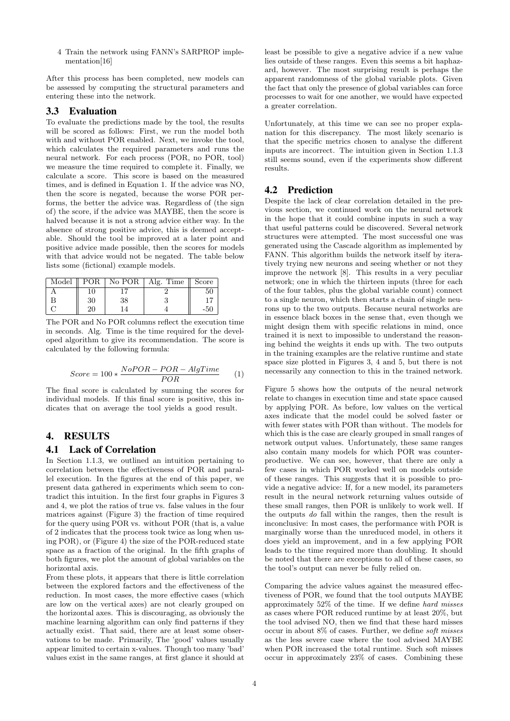4 Train the network using FANN's SARPROP implementation[16]

After this process has been completed, new models can be assessed by computing the structural parameters and entering these into the network.

## 3.3 Evaluation

To evaluate the predictions made by the tool, the results will be scored as follows: First, we run the model both with and without POR enabled. Next, we invoke the tool. which calculates the required parameters and runs the neural network. For each process (POR, no POR, tool) we measure the time required to complete it. Finally, we calculate a score. This score is based on the measured times, and is defined in Equation 1. If the advice was NO, then the score is negated, because the worse POR performs, the better the advice was. Regardless of (the sign of) the score, if the advice was MAYBE, then the score is halved because it is not a strong advice either way. In the absence of strong positive advice, this is deemed acceptable. Should the tool be improved at a later point and positive advice made possible, then the scores for models with that advice would not be negated. The table below lists some (fictional) example models.

| Model |    | POR   No POR | Alg. Time $\parallel$ | Score |
|-------|----|--------------|-----------------------|-------|
|       |    |              |                       |       |
|       | 30 | 38           |                       |       |
|       |    |              |                       |       |

The POR and No POR columns reflect the execution time in seconds. Alg. Time is the time required for the developed algorithm to give its recommendation. The score is calculated by the following formula:

$$
Score = 100 * \frac{NoPOR - POR - AlgTime}{POR}
$$
 (1)

The final score is calculated by summing the scores for individual models. If this final score is positive, this indicates that on average the tool yields a good result.

# 4. RESULTS

#### 4.1 Lack of Correlation

In Section 1.1.3, we outlined an intuition pertaining to correlation between the effectiveness of POR and parallel execution. In the figures at the end of this paper, we present data gathered in experiments which seem to contradict this intuition. In the first four graphs in Figures 3 and 4, we plot the ratios of true vs. false values in the four matrices against (Figure 3) the fraction of time required for the query using POR vs. without POR (that is, a value of 2 indicates that the process took twice as long when using POR), or (Figure 4) the size of the POR-reduced state space as a fraction of the original. In the fifth graphs of both figures, we plot the amount of global variables on the horizontal axis.

From these plots, it appears that there is little correlation between the explored factors and the effectiveness of the reduction. In most cases, the more effective cases (which are low on the vertical axes) are not clearly grouped on the horizontal axes. This is discouraging, as obviously the machine learning algorithm can only find patterns if they actually exist. That said, there are at least some observations to be made. Primarily, The 'good' values usually appear limited to certain x-values. Though too many 'bad' values exist in the same ranges, at first glance it should at least be possible to give a negative advice if a new value lies outside of these ranges. Even this seems a bit haphazard, however. The most surprising result is perhaps the apparent randomness of the global variable plots. Given the fact that only the presence of global variables can force processes to wait for one another, we would have expected a greater correlation.

Unfortunately, at this time we can see no proper explanation for this discrepancy. The most likely scenario is that the specific metrics chosen to analyse the different inputs are incorrect. The intuition given in Section 1.1.3 still seems sound, even if the experiments show different results.

### 4.2 Prediction

Despite the lack of clear correlation detailed in the previous section, we continued work on the neural network in the hope that it could combine inputs in such a way that useful patterns could be discovered. Several network structures were attempted. The most successful one was generated using the Cascade algorithm as implemented by FANN. This algorithm builds the network itself by iteratively trying new neurons and seeing whether or not they improve the network [8]. This results in a very peculiar network; one in which the thirteen inputs (three for each of the four tables, plus the global variable count) connect to a single neuron, which then starts a chain of single neurons up to the two outputs. Because neural networks are in essence black boxes in the sense that, even though we might design them with specific relations in mind, once trained it is next to impossible to understand the reasoning behind the weights it ends up with. The two outputs in the training examples are the relative runtime and state space size plotted in Figures 3, 4 and 5, but there is not necessarily any connection to this in the trained network.

Figure 5 shows how the outputs of the neural network relate to changes in execution time and state space caused by applying POR. As before, low values on the vertical axes indicate that the model could be solved faster or with fewer states with POR than without. The models for which this is the case are clearly grouped in small ranges of network output values. Unfortunately, these same ranges also contain many models for which POR was counterproductive. We can see, however, that there are only a few cases in which POR worked well on models outside of these ranges. This suggests that it is possible to provide a negative advice: If, for a new model, its parameters result in the neural network returning values outside of these small ranges, then POR is unlikely to work well. If the outputs do fall within the ranges, then the result is inconclusive: In most cases, the performance with POR is marginally worse than the unreduced model, in others it does yield an improvement, and in a few applying POR leads to the time required more than doubling. It should be noted that there are exceptions to all of these cases, so the tool's output can never be fully relied on.

Comparing the advice values against the measured effectiveness of POR, we found that the tool outputs MAYBE approximately 52% of the time. If we define hard misses as cases where POR reduced runtime by at least 20%, but the tool advised NO, then we find that these hard misses occur in about 8% of cases. Further, we define soft misses as the less severe case where the tool advised MAYBE when POR increased the total runtime. Such soft misses occur in approximately 23% of cases. Combining these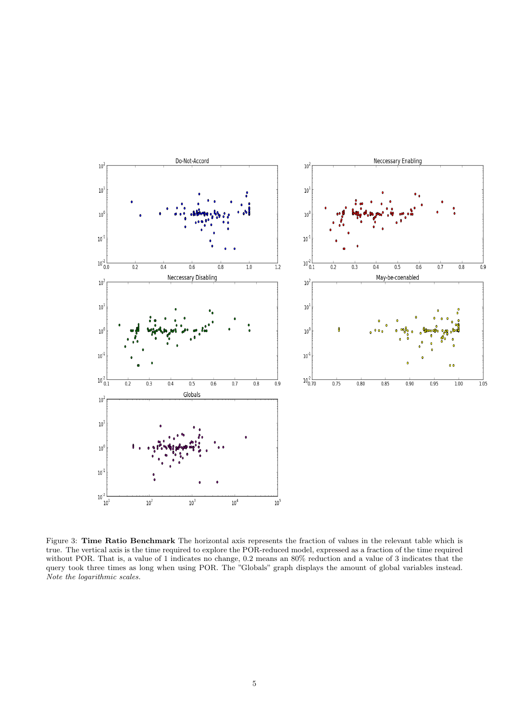

Figure 3: Time Ratio Benchmark The horizontal axis represents the fraction of values in the relevant table which is true. The vertical axis is the time required to explore the POR-reduced model, expressed as a fraction of the time required without POR. That is, a value of 1 indicates no change, 0.2 means an 80% reduction and a value of 3 indicates that the query took three times as long when using POR. The "Globals" graph displays the amount of global variables instead. Note the logarithmic scales.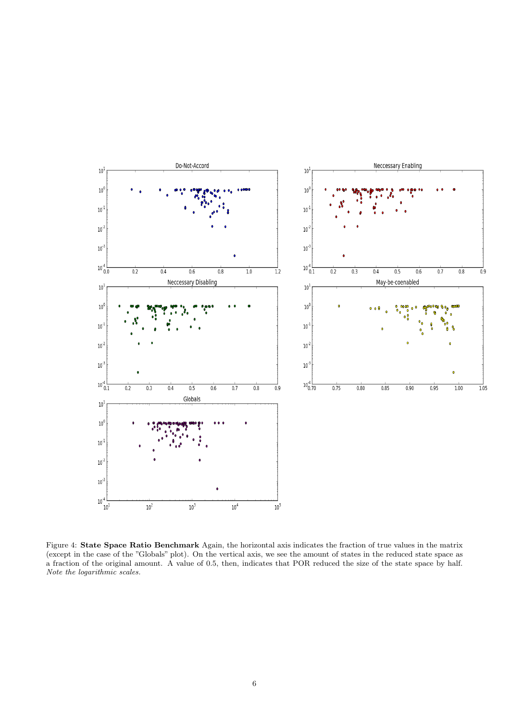

Figure 4: State Space Ratio Benchmark Again, the horizontal axis indicates the fraction of true values in the matrix (except in the case of the "Globals" plot). On the vertical axis, we see the amount of states in the reduced state space as a fraction of the original amount. A value of 0.5, then, indicates that POR reduced the size of the state space by half. Note the logarithmic scales.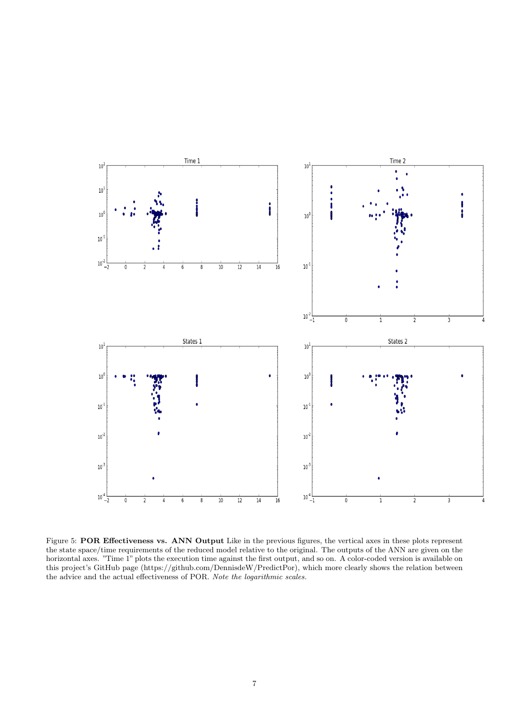

Figure 5: **POR Effectiveness vs. ANN Output** Like in the previous figures, the vertical axes in these plots represent the state space/time requirements of the reduced model relative to the original. The outputs of the ANN are given on the horizontal axes. "Time 1" plots the execution time against the first output, and so on. A color-coded version is available on this project's GitHub page (https://github.com/DennisdeW/PredictPor), which more clearly shows the relation between the advice and the actual effectiveness of POR. Note the logarithmic scales.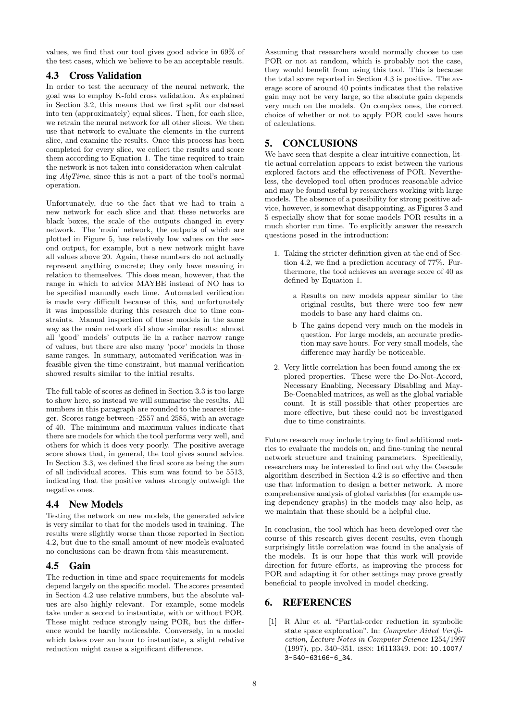values, we find that our tool gives good advice in 69% of the test cases, which we believe to be an acceptable result.

# 4.3 Cross Validation

In order to test the accuracy of the neural network, the goal was to employ K-fold cross validation. As explained in Section 3.2, this means that we first split our dataset into ten (approximately) equal slices. Then, for each slice, we retrain the neural network for all other slices. We then use that network to evaluate the elements in the current slice, and examine the results. Once this process has been completed for every slice, we collect the results and score them according to Equation 1. The time required to train the network is not taken into consideration when calculating AlgTime, since this is not a part of the tool's normal operation.

Unfortunately, due to the fact that we had to train a new network for each slice and that these networks are black boxes, the scale of the outputs changed in every network. The 'main' network, the outputs of which are plotted in Figure 5, has relatively low values on the second output, for example, but a new network might have all values above 20. Again, these numbers do not actually represent anything concrete; they only have meaning in relation to themselves. This does mean, however, that the range in which to advice MAYBE instead of NO has to be specified manually each time. Automated verification is made very difficult because of this, and unfortunately it was impossible during this research due to time constraints. Manual inspection of these models in the same way as the main network did show similar results: almost all 'good' models' outputs lie in a rather narrow range of values, but there are also many 'poor' models in those same ranges. In summary, automated verification was infeasible given the time constraint, but manual verification showed results similar to the initial results.

The full table of scores as defined in Section 3.3 is too large to show here, so instead we will summarise the results. All numbers in this paragraph are rounded to the nearest integer. Scores range between -2557 and 2585, with an average of 40. The minimum and maximum values indicate that there are models for which the tool performs very well, and others for which it does very poorly. The positive average score shows that, in general, the tool gives sound advice. In Section 3.3, we defined the final score as being the sum of all individual scores. This sum was found to be 5513, indicating that the positive values strongly outweigh the negative ones.

# 4.4 New Models

Testing the network on new models, the generated advice is very similar to that for the models used in training. The results were slightly worse than those reported in Section 4.2, but due to the small amount of new models evaluated no conclusions can be drawn from this measurement.

# 4.5 Gain

The reduction in time and space requirements for models depend largely on the specific model. The scores presented in Section 4.2 use relative numbers, but the absolute values are also highly relevant. For example, some models take under a second to instantiate, with or without POR. These might reduce strongly using POR, but the difference would be hardly noticeable. Conversely, in a model which takes over an hour to instantiate, a slight relative reduction might cause a significant difference.

Assuming that researchers would normally choose to use POR or not at random, which is probably not the case, they would benefit from using this tool. This is because the total score reported in Section 4.3 is positive. The average score of around 40 points indicates that the relative gain may not be very large, so the absolute gain depends very much on the models. On complex ones, the correct choice of whether or not to apply POR could save hours of calculations.

# 5. CONCLUSIONS

We have seen that despite a clear intuitive connection, little actual correlation appears to exist between the various explored factors and the effectiveness of POR. Nevertheless, the developed tool often produces reasonable advice and may be found useful by researchers working with large models. The absence of a possibility for strong positive advice, however, is somewhat disappointing, as Figures 3 and 5 especially show that for some models POR results in a much shorter run time. To explicitly answer the research questions posed in the introduction:

- 1. Taking the stricter definition given at the end of Section 4.2, we find a prediction accuracy of 77%. Furthermore, the tool achieves an average score of 40 as defined by Equation 1.
	- a Results on new models appear similar to the original results, but there were too few new models to base any hard claims on.
	- b The gains depend very much on the models in question. For large models, an accurate prediction may save hours. For very small models, the difference may hardly be noticeable.
- 2. Very little correlation has been found among the explored properties. These were the Do-Not-Accord, Necessary Enabling, Necessary Disabling and May-Be-Coenabled matrices, as well as the global variable count. It is still possible that other properties are more effective, but these could not be investigated due to time constraints.

Future research may include trying to find additional metrics to evaluate the models on, and fine-tuning the neural network structure and training parameters. Specifically, researchers may be interested to find out why the Cascade algorithm described in Section 4.2 is so effective and then use that information to design a better network. A more comprehensive analysis of global variables (for example using dependency graphs) in the models may also help, as we maintain that these should be a helpful clue.

In conclusion, the tool which has been developed over the course of this research gives decent results, even though surprisingly little correlation was found in the analysis of the models. It is our hope that this work will provide direction for future efforts, as improving the process for POR and adapting it for other settings may prove greatly beneficial to people involved in model checking.

# 6. REFERENCES

[1] R Alur et al. "Partial-order reduction in symbolic state space exploration". In: Computer Aided Verification, Lecture Notes in Computer Science 1254/1997 (1997), pp. 340-351. ISSN: 16113349. DOI: 10.1007/ 3-540-63166-6\_34.